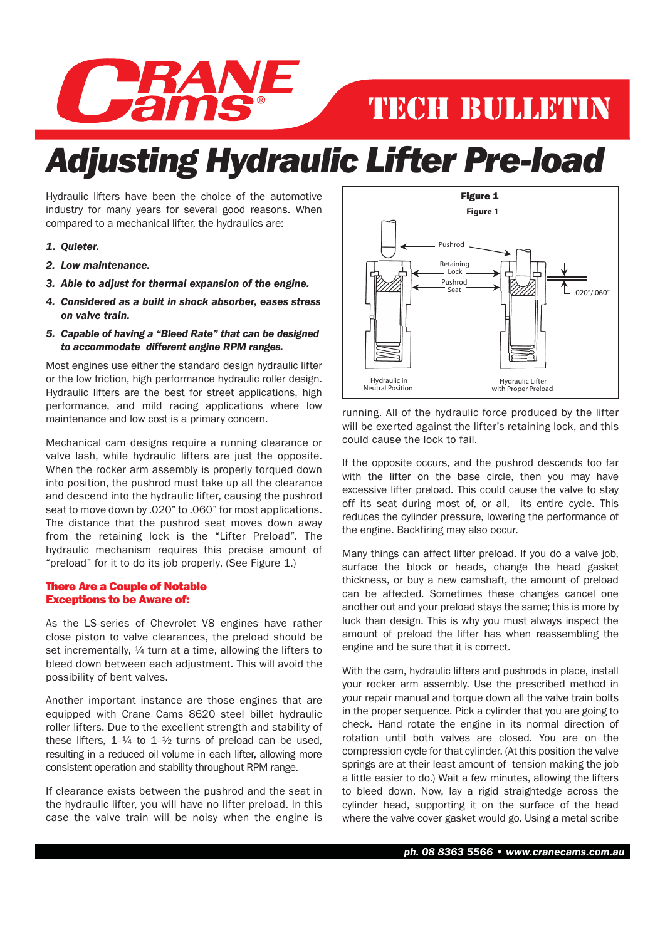

## TECH BULLETIN

## *Adjusting Hydraulic Lifter Pre-load*

Hydraulic lifters have been the choice of the automotive industry for many years for several good reasons. When compared to a mechanical lifter, the hydraulics are:

- *1. Quieter.*
- *2. Low maintenance.*
- *3. Able to adjust for thermal expansion of the engine.*
- *4. Considered as a built in shock absorber, eases stress on valve train.*
- *5. Capable of having a "Bleed Rate" that can be designed to accommodate different engine RPM ranges.*

Most engines use either the standard design hydraulic lifter or the low friction, high performance hydraulic roller design. Hydraulic lifters are the best for street applications, high performance, and mild racing applications where low maintenance and low cost is a primary concern.

Mechanical cam designs require a running clearance or valve lash, while hydraulic lifters are just the opposite. When the rocker arm assembly is properly torqued down into position, the pushrod must take up all the clearance and descend into the hydraulic lifter, causing the pushrod seat to move down by .020" to .060" for most applications. The distance that the pushrod seat moves down away from the retaining lock is the "Lifter Preload". The hydraulic mechanism requires this precise amount of "preload" for it to do its job properly. (See Figure 1.)

## There Are a Couple of Notable Exceptions to be Aware of:

As the LS-series of Chevrolet V8 engines have rather close piston to valve clearances, the preload should be set incrementally,  $\frac{1}{4}$  turn at a time, allowing the lifters to bleed down between each adjustment. This will avoid the possibility of bent valves.

Another important instance are those engines that are equipped with Crane Cams 8620 steel billet hydraulic roller lifters. Due to the excellent strength and stability of these lifters,  $1-\frac{1}{4}$  to  $1-\frac{1}{2}$  turns of preload can be used, resulting in a reduced oil volume in each lifter, allowing more consistent operation and stability throughout RPM range.

 If clearance exists between the pushrod and the seat in the hydraulic lifter, you will have no lifter preload. In this case the valve train will be noisy when the engine is



running. All of the hydraulic force produced by the lifter will be exerted against the lifter's retaining lock, and this could cause the lock to fail.

If the opposite occurs, and the pushrod descends too far with the lifter on the base circle, then you may have excessive lifter preload. This could cause the valve to stay off its seat during most of, or all, its entire cycle. This reduces the cylinder pressure, lowering the performance of the engine. Backfiring may also occur.

Many things can affect lifter preload. If you do a valve job, surface the block or heads, change the head gasket thickness, or buy a new camshaft, the amount of preload can be affected. Sometimes these changes cancel one another out and your preload stays the same; this is more by luck than design. This is why you must always inspect the amount of preload the lifter has when reassembling the engine and be sure that it is correct.

 With the cam, hydraulic lifters and pushrods in place, install your rocker arm assembly. Use the prescribed method in your repair manual and torque down all the valve train bolts in the proper sequence. Pick a cylinder that you are going to check. Hand rotate the engine in its normal direction of rotation until both valves are closed. You are on the compression cycle for that cylinder. (At this position the valve springs are at their least amount of tension making the job a little easier to do.) Wait a few minutes, allowing the lifters to bleed down. Now, lay a rigid straightedge across the cylinder head, supporting it on the surface of the head where the valve cover gasket would go. Using a metal scribe